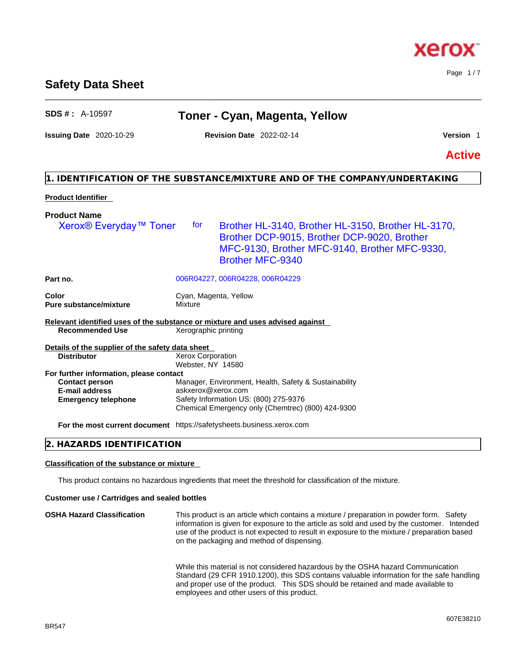# **1. IDENTIFICATION OF THE SUBSTANCE/MIXTURE AND OF THE COMPANY/UNDERTAKING**

# **Product Identifier**

**Product Name** 

| Xerox <sup>®</sup> Everyday <sup>™</sup> Toner                                                          | for                                           | Brother HL-3140, Brother HL-3150, Brother HL-3170,<br>Brother DCP-9015, Brother DCP-9020, Brother<br>MFC-9130, Brother MFC-9140, Brother MFC-9330,<br><b>Brother MFC-9340</b> |
|---------------------------------------------------------------------------------------------------------|-----------------------------------------------|-------------------------------------------------------------------------------------------------------------------------------------------------------------------------------|
| Part no.                                                                                                |                                               | 006R04227, 006R04228, 006R04229                                                                                                                                               |
| Color<br><b>Pure substance/mixture</b>                                                                  | Cyan, Magenta, Yellow<br>Mixture              |                                                                                                                                                                               |
| Relevant identified uses of the substance or mixture and uses advised against<br><b>Recommended Use</b> | Xerographic printing                          |                                                                                                                                                                               |
| Details of the supplier of the safety data sheet                                                        |                                               |                                                                                                                                                                               |
| <b>Distributor</b>                                                                                      | <b>Xerox Corporation</b><br>Webster, NY 14580 |                                                                                                                                                                               |
| For further information, please contact                                                                 |                                               |                                                                                                                                                                               |
| <b>Contact person</b>                                                                                   |                                               | Manager, Environment, Health, Safety & Sustainability                                                                                                                         |
| <b>E-mail address</b>                                                                                   | askxerox@xerox.com                            |                                                                                                                                                                               |
| <b>Emergency telephone</b>                                                                              |                                               | Safety Information US: (800) 275-9376                                                                                                                                         |
|                                                                                                         |                                               | Chemical Emergency only (Chemtrec) (800) 424-9300                                                                                                                             |
| For the most current document https://safetysheets.business.xerox.com                                   |                                               |                                                                                                                                                                               |
| 2. HAZARDS IDENTIFICATION                                                                               |                                               |                                                                                                                                                                               |

# **Classification of the substance or mixture**

This product contains no hazardous ingredients that meet the threshold for classification of the mixture.

#### **Customer use / Cartridges and sealed bottles**

**OSHA Hazard Classification** This product is an article which contains a mixture / preparation in powder form. Safety information is given for exposure to the article as sold and used by the customer. Intended use of the product is not expected to result in exposure to the mixture / preparation based on the packaging and method of dispensing.

While this material is not considered hazardous by the OSHA hazard Communication Standard (29 CFR 1910.1200), this SDS contains valuable information for the safe handling and proper use of the product. This SDS should be retained and made available to employees and other users of this product.



Page 1 / 7

**Issuing Date** 2020-10-29 **Revision Date** 2022-02-14 **Version** 1

\_\_\_\_\_\_\_\_\_\_\_\_\_\_\_\_\_\_\_\_\_\_\_\_\_\_\_\_\_\_\_\_\_\_\_\_\_\_\_\_\_\_\_\_\_\_\_\_\_\_\_\_\_\_\_\_\_\_\_\_\_\_\_\_\_\_\_\_\_\_\_\_\_\_\_\_\_\_\_\_\_\_\_\_\_\_\_\_\_\_\_\_\_\_

**Active**

# **Safety Data Sheet**

**SDS # :** A-10597 **Toner - Cyan, Magenta, Yellow**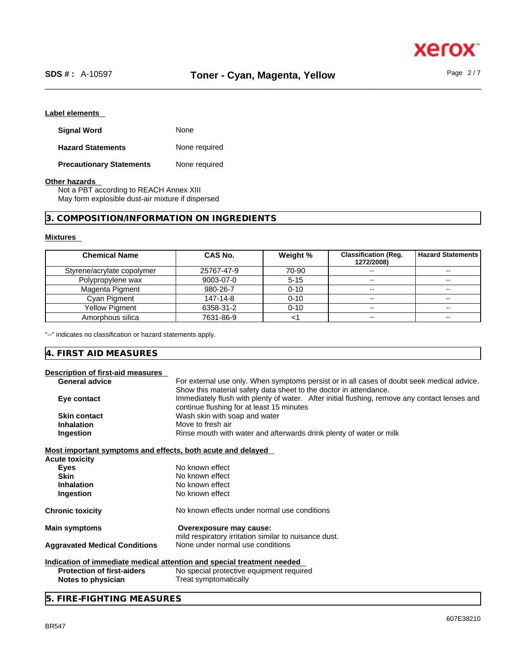### **Label elements**

| <b>Signal Word</b>              | None          |
|---------------------------------|---------------|
| <b>Hazard Statements</b>        | None required |
| <b>Precautionary Statements</b> | None required |

#### **Other hazards**

Not a PBT according to REACH Annex XIII May form explosible dust-air mixture if dispersed

# **3. COMPOSITION/INFORMATION ON INGREDIENTS**

#### **Mixtures**

| <b>Chemical Name</b>       | CAS No.    | Weight % | <b>Classification (Req.</b><br>1272/2008) | <b>Hazard Statements</b> |
|----------------------------|------------|----------|-------------------------------------------|--------------------------|
| Styrene/acrylate copolymer | 25767-47-9 | 70-90    |                                           |                          |
| Polypropylene wax          | 9003-07-0  | $5 - 15$ |                                           | $- -$                    |
| Magenta Pigment            | 980-26-7   | $0 - 10$ | --                                        | $\overline{\phantom{m}}$ |
| Cyan Pigment               | 147-14-8   | $0 - 10$ | $- -$                                     | $- -$                    |
| Yellow Pigment             | 6358-31-2  | $0 - 10$ | --                                        | $\overline{\phantom{m}}$ |
| Amorphous silica           | 7631-86-9  |          | --                                        | --                       |

"--" indicates no classification or hazard statements apply.

# **4. FIRST AID MEASURES**

| Description of first-aid measures                           |                                                                                                                                                                 |  |  |
|-------------------------------------------------------------|-----------------------------------------------------------------------------------------------------------------------------------------------------------------|--|--|
| <b>General advice</b>                                       | For external use only. When symptoms persist or in all cases of doubt seek medical advice.<br>Show this material safety data sheet to the doctor in attendance. |  |  |
| Eye contact                                                 | Immediately flush with plenty of water. After initial flushing, remove any contact lenses and<br>continue flushing for at least 15 minutes                      |  |  |
| <b>Skin contact</b>                                         | Wash skin with soap and water                                                                                                                                   |  |  |
| <b>Inhalation</b>                                           | Move to fresh air                                                                                                                                               |  |  |
| Ingestion                                                   | Rinse mouth with water and afterwards drink plenty of water or milk                                                                                             |  |  |
| Most important symptoms and effects, both acute and delayed |                                                                                                                                                                 |  |  |
| <b>Acute toxicity</b>                                       |                                                                                                                                                                 |  |  |
| Eyes                                                        | No known effect                                                                                                                                                 |  |  |
| <b>Skin</b>                                                 | No known effect                                                                                                                                                 |  |  |
| <b>Inhalation</b>                                           | No known effect                                                                                                                                                 |  |  |
| Ingestion                                                   | No known effect                                                                                                                                                 |  |  |
| <b>Chronic toxicity</b>                                     | No known effects under normal use conditions                                                                                                                    |  |  |
| <b>Main symptoms</b>                                        | Overexposure may cause:<br>mild respiratory irritation similar to nuisance dust.                                                                                |  |  |
| <b>Aggravated Medical Conditions</b>                        | None under normal use conditions                                                                                                                                |  |  |
|                                                             | Indication of immediate medical attention and special treatment needed                                                                                          |  |  |
| <b>Protection of first-aiders</b>                           | No special protective equipment required                                                                                                                        |  |  |
| Notes to physician                                          | Treat symptomatically                                                                                                                                           |  |  |

# **5. FIRE-FIGHTING MEASURES**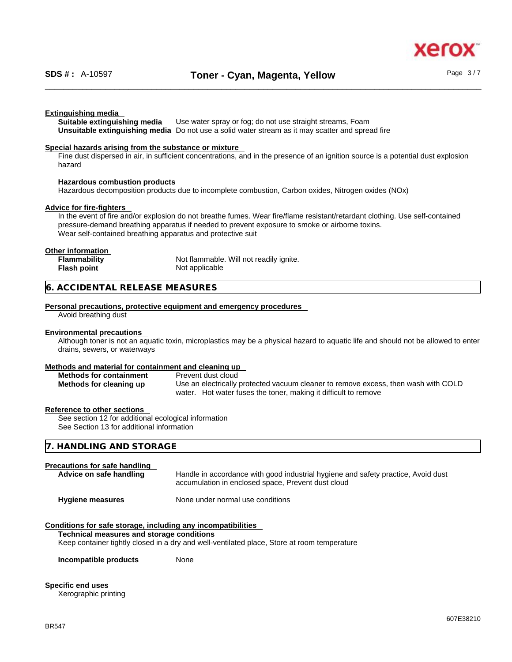xerc

#### **Extinguishing media**

**Suitable extinguishing media** Use water spray or fog; do not use straight streams, Foam **Unsuitable extinguishing media** Do not use a solid water stream as it may scatterand spread fire

#### **Special hazards arising from the substance or mixture**

Fine dust dispersed in air, in sufficient concentrations, and in the presence of an ignition source is a potential dust explosion hazard

#### **Hazardous combustion products**

Hazardous decomposition products due to incomplete combustion, Carbon oxides, Nitrogen oxides (NOx)

#### **Advice for fire-fighters**

In the event of fire and/or explosion do not breathe fumes. Wear fire/flame resistant/retardant clothing. Use self-contained pressure-demand breathing apparatus if needed to prevent exposure to smoke or airborne toxins. Wear self-contained breathing apparatus and protective suit

#### **Other information**

| <b>Flammability</b> | Not flammable. Will not readily ignite. |  |
|---------------------|-----------------------------------------|--|
| Flash point         | Not applicable                          |  |

#### **6. ACCIDENTAL RELEASE MEASURES**

#### **Personal precautions, protective equipment and emergency procedures**

Avoid breathing dust

#### **Environmental precautions**

Although toner is not an aquatic toxin, microplastics may be a physical hazard to aquatic life and should not be allowed to enter drains, sewers, or waterways

#### **Methods and material for containment and cleaning up**

| <b>Methods for containment</b> | Prevent dust cloud                                                                 |  |
|--------------------------------|------------------------------------------------------------------------------------|--|
| Methods for cleaning up        | Use an electrically protected vacuum cleaner to remove excess, then wash with COLD |  |
|                                | water. Hot water fuses the toner, making it difficult to remove                    |  |

#### **Reference to other sections**

See section 12 for additional ecological information See Section 13 for additional information

| 7. HANDLING AND STORAGE |  |
|-------------------------|--|
|                         |  |

#### **Precautions for safe handling**

| Advice on safe handling                                                                                                                                                                                                                                                                        | Handle in accordance with good industrial hygiene and safety practice, Avoid dust<br>accumulation in enclosed space, Prevent dust cloud |
|------------------------------------------------------------------------------------------------------------------------------------------------------------------------------------------------------------------------------------------------------------------------------------------------|-----------------------------------------------------------------------------------------------------------------------------------------|
| <b>Hygiene measures</b>                                                                                                                                                                                                                                                                        | None under normal use conditions                                                                                                        |
| Conditions for safe storage, including any incompatibilities<br>The characters of the company was constant and constant and constant of the constant of the constant of the constant of the constant of the constant of the constant of the constant of the constant of the constant of the co |                                                                                                                                         |

#### **Technical measures and storage conditions**

Keep container tightly closed in a dry and well-ventilated place, Store at room temperature

**Incompatible products** None

#### **Specific end uses**

Xerographic printing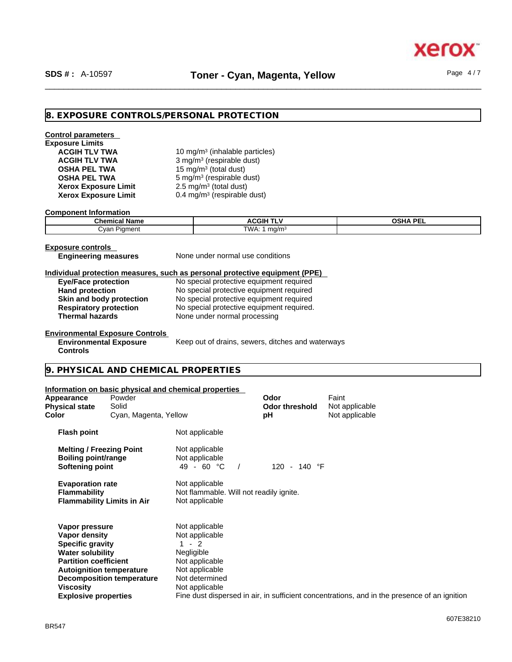xerc

# **8. EXPOSURE CONTROLS/PERSONAL PROTECTION**

# **Control parameters Exposure Limits Xerox Exposure Limit<br>Xerox Exposure Limit Xerox Exposure Limit** 0.4 mg/m<sup>3</sup> (respirable dust)

**ACGIH TLV TWA** 10 mg/m<sup>3</sup> (inhalable particles) **ACGIH TLV TWA** 3 mg/m<sup>3</sup> (respirable dust) **OSHA PEL TWA** 15 mg/m<sup>3</sup> (total dust) **OSHA PEL TWA** 5 mg/m<sup>3</sup> (respirable dust)  $2.5 \text{ mg/m}^3$  (total dust)

#### **Component Information**

| <b>Chemical Name</b>   | <b>ACGIH TLV</b> | <b>OSHA PEI</b> |
|------------------------|------------------|-----------------|
| ∴var<br>Pigment<br>___ | TWA.<br>ma/m-    |                 |

**Exposure controls** 

**Controls** 

**Engineering measures** None under normal use conditions

#### **Individual protection measures, such as personal protective equipment (PPE)**

| <b>Eye/Face protection</b>    | No special protective equipment required  |
|-------------------------------|-------------------------------------------|
| <b>Hand protection</b>        | No special protective equipment required  |
| Skin and body protection      | No special protective equipment required  |
| <b>Respiratory protection</b> | No special protective equipment required. |
| <b>Thermal hazards</b>        | None under normal processing              |

#### **Environmental Exposure Controls Environmental Exposure**

Keep out of drains, sewers, ditches and waterways

# **9. PHYSICAL AND CHEMICAL PROPERTIES**

#### **Information on basic physical and chemical properties**

| Appearance<br><b>Physical state</b><br>Color                                                                                                                      | Powder<br>Solid<br>Cyan, Magenta, Yellow                            |                                                                                                                                | Odor<br><b>Odor threshold</b><br>рH | Faint<br>Not applicable<br>Not applicable                                                    |
|-------------------------------------------------------------------------------------------------------------------------------------------------------------------|---------------------------------------------------------------------|--------------------------------------------------------------------------------------------------------------------------------|-------------------------------------|----------------------------------------------------------------------------------------------|
| <b>Flash point</b>                                                                                                                                                |                                                                     | Not applicable                                                                                                                 |                                     |                                                                                              |
| <b>Melting / Freezing Point</b><br><b>Boiling point/range</b><br>Softening point                                                                                  |                                                                     | Not applicable<br>Not applicable<br>49 - 60 °C                                                                                 | 140 °F<br>120<br>$\sim$             |                                                                                              |
| <b>Evaporation rate</b><br><b>Flammability</b>                                                                                                                    | <b>Flammability Limits in Air</b>                                   | Not applicable<br>Not flammable. Will not readily ignite.<br>Not applicable                                                    |                                     |                                                                                              |
| Vapor pressure<br>Vapor density<br><b>Specific gravity</b><br><b>Water solubility</b><br><b>Partition coefficient</b><br>Viscosity<br><b>Explosive properties</b> | <b>Autoignition temperature</b><br><b>Decomposition temperature</b> | Not applicable<br>Not applicable<br>$-2$<br>Negligible<br>Not applicable<br>Not applicable<br>Not determined<br>Not applicable |                                     | Fine dust dispersed in air, in sufficient concentrations, and in the presence of an ignition |
|                                                                                                                                                                   |                                                                     |                                                                                                                                |                                     |                                                                                              |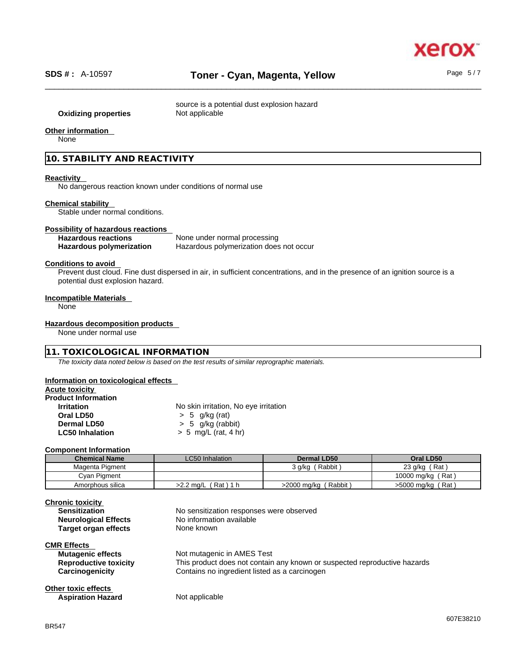

source is a potential dust explosion hazard **Oxidizing properties** Not applicable

# **Other information**

None

**10. STABILITY AND REACTIVITY** 

#### **Reactivity**

No dangerous reaction known under conditions of normal use

#### **Chemical stability**

Stable under normal conditions.

#### **Possibility of hazardous reactions**

| <b>Hazardous reactions</b>      | None under normal processing            |
|---------------------------------|-----------------------------------------|
| <b>Hazardous polymerization</b> | Hazardous polymerization does not occur |

#### **Conditions to avoid**

Prevent dust cloud. Fine dust dispersed in air, in sufficient concentrations, and in the presence of an ignition source is a potential dust explosion hazard.

#### **Incompatible Materials**

None

#### **Hazardous decomposition products**

None under normal use

#### **11. TOXICOLOGICAL INFORMATION**

*The toxicity data noted below is based on the test results of similar reprographic materials.* 

#### **Information on toxicological effects**

**Acute toxicity**

| <b>Product Information</b> |                                       |
|----------------------------|---------------------------------------|
| <b>Irritation</b>          | No skin irritation, No eye irritation |
| Oral LD50                  | $> 5$ g/kg (rat)                      |
| Dermal LD50                | $> 5$ g/kg (rabbit)                   |
| <b>LC50 Inhalation</b>     | $> 5$ mg/L (rat, 4 hr)                |

#### **Component Information**

| <b>Chemical Name</b> | LC50 Inhalation         | Dermal LD50            | Oral LD50         |
|----------------------|-------------------------|------------------------|-------------------|
| Magenta Pigment      |                         | Rabbit)<br>3 g/kg (    | 23 $g/kg$ (Rat)   |
| Cyan Pigment         |                         |                        | 10000 mg/kg (Rat) |
| Amorphous silica     | (Rat)1 h<br>$>2.2$ mg/L | (Rabbit<br>>2000 mg/kg | >5000 mg/kg (Rat) |

| <b>Chronic toxicity</b><br><b>Sensitization</b><br><b>Neurological Effects</b><br>Target organ effects | No sensitization responses were observed<br>No information available<br>None known                                                                       |
|--------------------------------------------------------------------------------------------------------|----------------------------------------------------------------------------------------------------------------------------------------------------------|
| <b>CMR Effects</b><br><b>Mutagenic effects</b><br><b>Reproductive toxicity</b><br>Carcinogenicity      | Not mutagenic in AMES Test<br>This product does not contain any known or suspected reproductive hazards<br>Contains no ingredient listed as a carcinogen |
| Other toxic effects<br><b>Aspiration Hazard</b>                                                        | Not applicable                                                                                                                                           |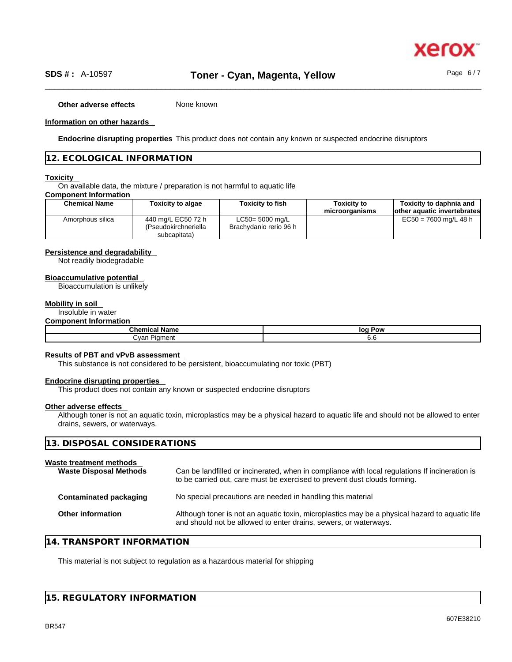

**Other adverse effects** None known

#### **Information on other hazards**

**Endocrine disrupting properties** This product does not contain any known or suspected endocrine disruptors

#### **12. ECOLOGICAL INFORMATION**

#### **Toxicity**

On available data, the mixture / preparation is not harmful to aquatic life

#### **Component Information**

| <b>Chemical Name</b> | <b>Toxicity to algae</b>                                   | <b>Toxicity to fish</b>                   | <b>Toxicity to</b><br>microorganisms | Toxicity to daphnia and<br>lother aquatic invertebrates |
|----------------------|------------------------------------------------------------|-------------------------------------------|--------------------------------------|---------------------------------------------------------|
| Amorphous silica     | 440 mg/L EC50 72 h<br>(Pseudokirchneriella<br>subcapitata) | LC50= 5000 mg/L<br>Brachydanio rerio 96 h |                                      | $EC50 = 7600$ mg/L 48 h                                 |

#### **Persistence and degradability**

Not readily biodegradable

#### **Bioaccumulative potential**

Bioaccumulation is unlikely

#### **Mobility in soil**

### Insoluble in water

#### **Component Information**

| Chemical               | Pow |
|------------------------|-----|
| ∖ Name                 | loq |
| ∴van<br><b>Piament</b> | v.c |

#### **Results of PBT and vPvB assessment**

This substance is not considered to be persistent, bioaccumulating nor toxic (PBT)

#### **Endocrine disrupting properties**

This product does not contain any known or suspected endocrine disruptors

#### **Other adverse effects**

Although toner is not an aquatic toxin, microplastics may be a physical hazard to aquatic life and should not be allowed to enter drains, sewers, or waterways.

| 13. DISPOSAL CONSIDERATIONS                                                                                                                                                 |                                                                                                |
|-----------------------------------------------------------------------------------------------------------------------------------------------------------------------------|------------------------------------------------------------------------------------------------|
| Can be landfilled or incinerated, when in compliance with local regulations If incineration is<br>to be carried out, care must be exercised to prevent dust clouds forming. |                                                                                                |
| No special precautions are needed in handling this material                                                                                                                 |                                                                                                |
| and should not be allowed to enter drains, sewers, or waterways.                                                                                                            |                                                                                                |
|                                                                                                                                                                             | Although toner is not an aquatic toxin, microplastics may be a physical hazard to aquatic life |

## **14. TRANSPORT INFORMATION**

This material is not subject to regulation as a hazardous material for shipping

#### **15. REGULATORY INFORMATION**